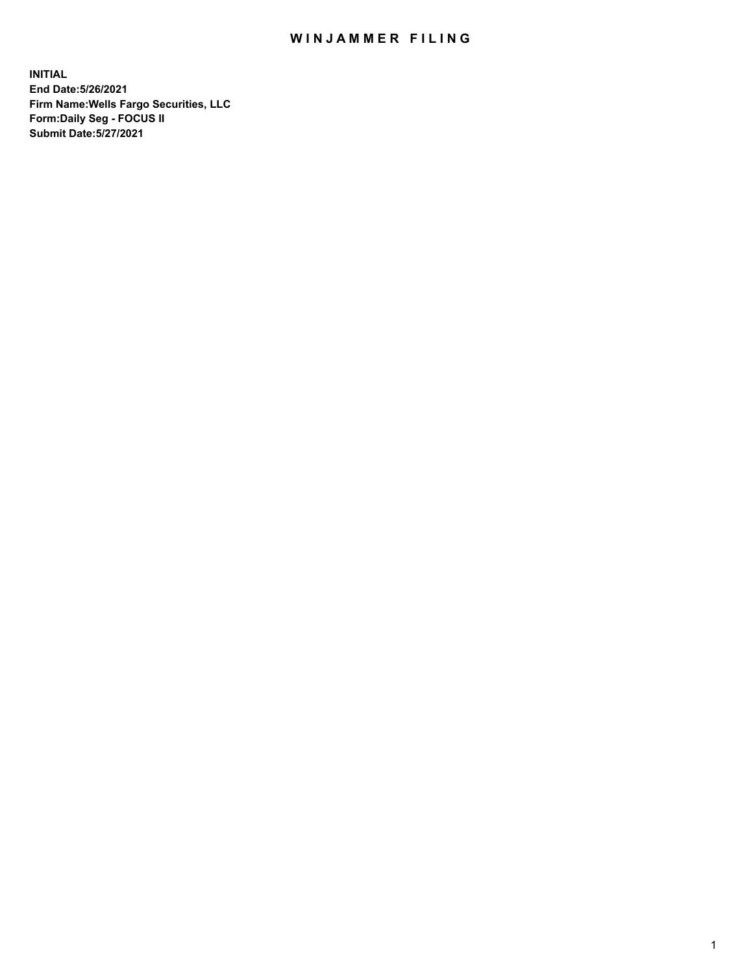## WIN JAMMER FILING

**INITIAL End Date:5/26/2021 Firm Name:Wells Fargo Securities, LLC Form:Daily Seg - FOCUS II Submit Date:5/27/2021**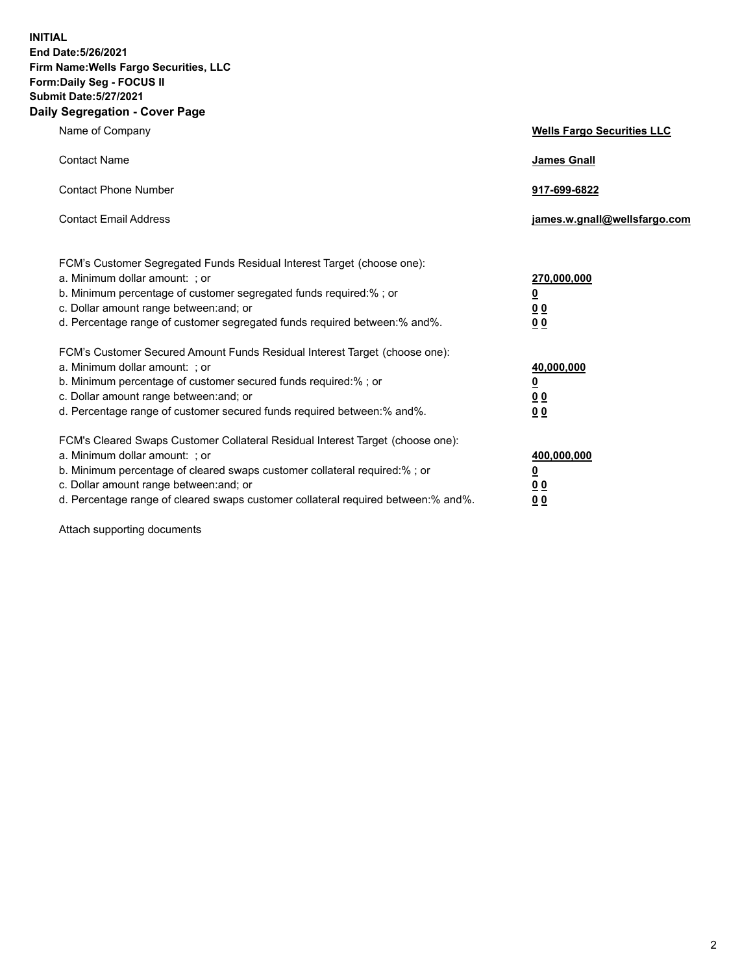**INITIAL End Date:5/26/2021 Firm Name:Wells Fargo Securities, LLC Form:Daily Seg - FOCUS II Submit Date:5/27/2021 Daily Segregation - Cover Page**

| Name of Company                                                                                                                                                                                                                                                                                                                | <b>Wells Fargo Securities LLC</b>                           |
|--------------------------------------------------------------------------------------------------------------------------------------------------------------------------------------------------------------------------------------------------------------------------------------------------------------------------------|-------------------------------------------------------------|
| <b>Contact Name</b>                                                                                                                                                                                                                                                                                                            | <b>James Gnall</b>                                          |
| <b>Contact Phone Number</b>                                                                                                                                                                                                                                                                                                    | 917-699-6822                                                |
| <b>Contact Email Address</b>                                                                                                                                                                                                                                                                                                   | james.w.gnall@wellsfargo.com                                |
| FCM's Customer Segregated Funds Residual Interest Target (choose one):<br>a. Minimum dollar amount: ; or<br>b. Minimum percentage of customer segregated funds required:% ; or<br>c. Dollar amount range between: and; or<br>d. Percentage range of customer segregated funds required between:% and%.                         | 270,000,000<br><u>0</u><br>0 <sub>0</sub><br>0 <sub>0</sub> |
| FCM's Customer Secured Amount Funds Residual Interest Target (choose one):<br>a. Minimum dollar amount: ; or<br>b. Minimum percentage of customer secured funds required:%; or<br>c. Dollar amount range between: and; or<br>d. Percentage range of customer secured funds required between:% and%.                            | 40,000,000<br><u>0</u><br>00<br>0 <sub>0</sub>              |
| FCM's Cleared Swaps Customer Collateral Residual Interest Target (choose one):<br>a. Minimum dollar amount: ; or<br>b. Minimum percentage of cleared swaps customer collateral required:% ; or<br>c. Dollar amount range between: and; or<br>d. Percentage range of cleared swaps customer collateral required between:% and%. | 400,000,000<br><u>0</u><br>0 <sub>0</sub><br>00             |

Attach supporting documents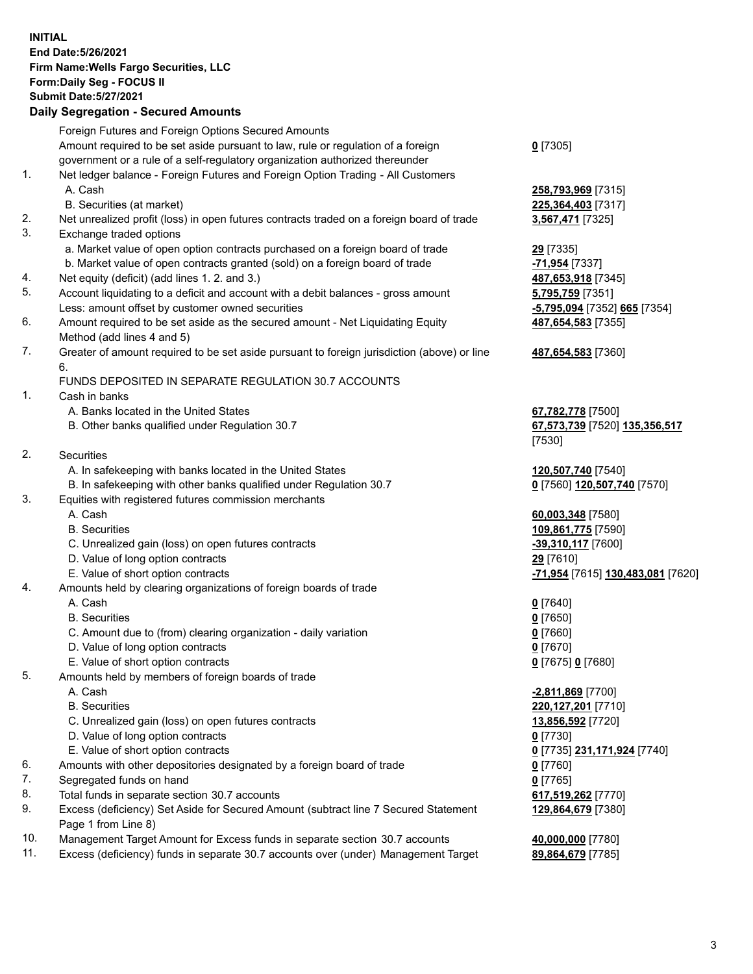**INITIAL End Date:5/26/2021 Firm Name:Wells Fargo Securities, LLC Form:Daily Seg - FOCUS II Submit Date:5/27/2021**

## **Daily Segregation - Secured Amounts**

|    | Foreign Futures and Foreign Options Secured Amounts                                         |                                   |
|----|---------------------------------------------------------------------------------------------|-----------------------------------|
|    | Amount required to be set aside pursuant to law, rule or regulation of a foreign            | $0$ [7305]                        |
|    | government or a rule of a self-regulatory organization authorized thereunder                |                                   |
| 1. | Net ledger balance - Foreign Futures and Foreign Option Trading - All Customers             |                                   |
|    | A. Cash                                                                                     | 258,793,969 [7315]                |
|    | B. Securities (at market)                                                                   | 225,364,403 [7317]                |
| 2. | Net unrealized profit (loss) in open futures contracts traded on a foreign board of trade   | 3,567,471 [7325]                  |
| 3. | Exchange traded options                                                                     |                                   |
|    | a. Market value of open option contracts purchased on a foreign board of trade              | 29 [7335]                         |
|    | b. Market value of open contracts granted (sold) on a foreign board of trade                | <u>-71,954</u> [7337]             |
| 4. | Net equity (deficit) (add lines 1. 2. and 3.)                                               | 487,653,918 [7345]                |
| 5. | Account liquidating to a deficit and account with a debit balances - gross amount           | 5,795,759 [7351]                  |
|    | Less: amount offset by customer owned securities                                            | -5,795,094 [7352] 665 [7354]      |
| 6. | Amount required to be set aside as the secured amount - Net Liquidating Equity              | 487,654,583 [7355]                |
|    | Method (add lines 4 and 5)                                                                  |                                   |
| 7. | Greater of amount required to be set aside pursuant to foreign jurisdiction (above) or line | 487,654,583 [7360]                |
|    | 6.                                                                                          |                                   |
|    | FUNDS DEPOSITED IN SEPARATE REGULATION 30.7 ACCOUNTS                                        |                                   |
| 1. | Cash in banks                                                                               |                                   |
|    | A. Banks located in the United States                                                       | 67,782,778 [7500]                 |
|    | B. Other banks qualified under Regulation 30.7                                              | 67,573,739 [7520] 135,356,517     |
|    |                                                                                             | [7530]                            |
| 2. | Securities                                                                                  |                                   |
|    | A. In safekeeping with banks located in the United States                                   | 120,507,740 [7540]                |
|    | B. In safekeeping with other banks qualified under Regulation 30.7                          | 0 [7560] 120,507,740 [7570]       |
| 3. | Equities with registered futures commission merchants                                       |                                   |
|    | A. Cash                                                                                     | 60,003,348 [7580]                 |
|    | <b>B.</b> Securities                                                                        | 109,861,775 [7590]                |
|    | C. Unrealized gain (loss) on open futures contracts                                         | -39,310,117 [7600]                |
|    | D. Value of long option contracts                                                           | 29 [7610]                         |
|    | E. Value of short option contracts                                                          | -71,954 [7615] 130,483,081 [7620] |
| 4. | Amounts held by clearing organizations of foreign boards of trade                           |                                   |
|    | A. Cash                                                                                     | $0$ [7640]                        |
|    | <b>B.</b> Securities                                                                        | $0$ [7650]                        |
|    | C. Amount due to (from) clearing organization - daily variation                             | $0$ [7660]                        |
|    | D. Value of long option contracts                                                           | $0$ [7670]                        |
|    | E. Value of short option contracts                                                          | 0 [7675] 0 [7680]                 |
| 5. | Amounts held by members of foreign boards of trade                                          |                                   |
|    | A. Cash                                                                                     | -2,811,869 [7700]                 |
|    | <b>B.</b> Securities                                                                        | 220,127,201 [7710]                |
|    | C. Unrealized gain (loss) on open futures contracts                                         | 13,856,592 [7720]                 |
|    | D. Value of long option contracts                                                           | $0$ [7730]                        |
|    | E. Value of short option contracts                                                          | 0 [7735] 231,171,924 [7740]       |
| 6. | Amounts with other depositories designated by a foreign board of trade                      | $0$ [7760]                        |
| 7. | Segregated funds on hand                                                                    | $0$ [7765]                        |
| 8. | Total funds in separate section 30.7 accounts                                               | 617,519,262 [7770]                |
| 9. | Excess (deficiency) Set Aside for Secured Amount (subtract line 7 Secured Statement         | 129,864,679 [7380]                |
|    | Page 1 from Line 8)                                                                         |                                   |

- 10. Management Target Amount for Excess funds in separate section 30.7 accounts **40,000,000** [7780]
- 11. Excess (deficiency) funds in separate 30.7 accounts over (under) Management Target **89,864,679** [7785]

3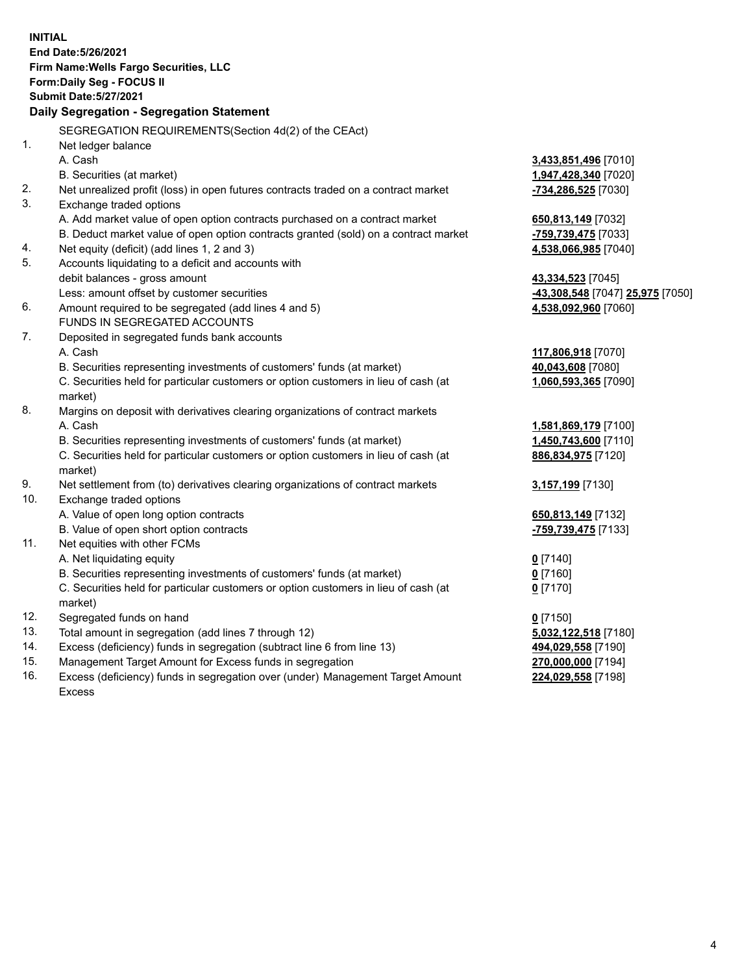**INITIAL End Date:5/26/2021 Firm Name:Wells Fargo Securities, LLC Form:Daily Seg - FOCUS II Submit Date:5/27/2021 Daily Segregation - Segregation Statement** SEGREGATION REQUIREMENTS(Section 4d(2) of the CEAct) 1. Net ledger balance A. Cash **3,433,851,496** [7010] B. Securities (at market) **1,947,428,340** [7020] 2. Net unrealized profit (loss) in open futures contracts traded on a contract market **-734,286,525** [7030] 3. Exchange traded options A. Add market value of open option contracts purchased on a contract market **650,813,149** [7032] B. Deduct market value of open option contracts granted (sold) on a contract market **-759,739,475** [7033] 4. Net equity (deficit) (add lines 1, 2 and 3) **4,538,066,985** [7040] 5. Accounts liquidating to a deficit and accounts with debit balances - gross amount **43,334,523** [7045] Less: amount offset by customer securities **-43,308,548** [7047] **25,975** [7050] 6. Amount required to be segregated (add lines 4 and 5) **4,538,092,960** [7060] FUNDS IN SEGREGATED ACCOUNTS 7. Deposited in segregated funds bank accounts A. Cash **117,806,918** [7070] B. Securities representing investments of customers' funds (at market) **40,043,608** [7080] C. Securities held for particular customers or option customers in lieu of cash (at market) **1,060,593,365** [7090] 8. Margins on deposit with derivatives clearing organizations of contract markets A. Cash **1,581,869,179** [7100] B. Securities representing investments of customers' funds (at market) **1,450,743,600** [7110] C. Securities held for particular customers or option customers in lieu of cash (at market) **886,834,975** [7120] 9. Net settlement from (to) derivatives clearing organizations of contract markets **3,157,199** [7130] 10. Exchange traded options A. Value of open long option contracts **650,813,149** [7132] B. Value of open short option contracts **-759,739,475** [7133] 11. Net equities with other FCMs A. Net liquidating equity **0** [7140] B. Securities representing investments of customers' funds (at market) **0** [7160] C. Securities held for particular customers or option customers in lieu of cash (at market) **0** [7170] 12. Segregated funds on hand **0** [7150] 13. Total amount in segregation (add lines 7 through 12) **5,032,122,518** [7180] 14. Excess (deficiency) funds in segregation (subtract line 6 from line 13) **494,029,558** [7190] 15. Management Target Amount for Excess funds in segregation **270,000,000** [7194]

16. Excess (deficiency) funds in segregation over (under) Management Target Amount Excess

**224,029,558** [7198]